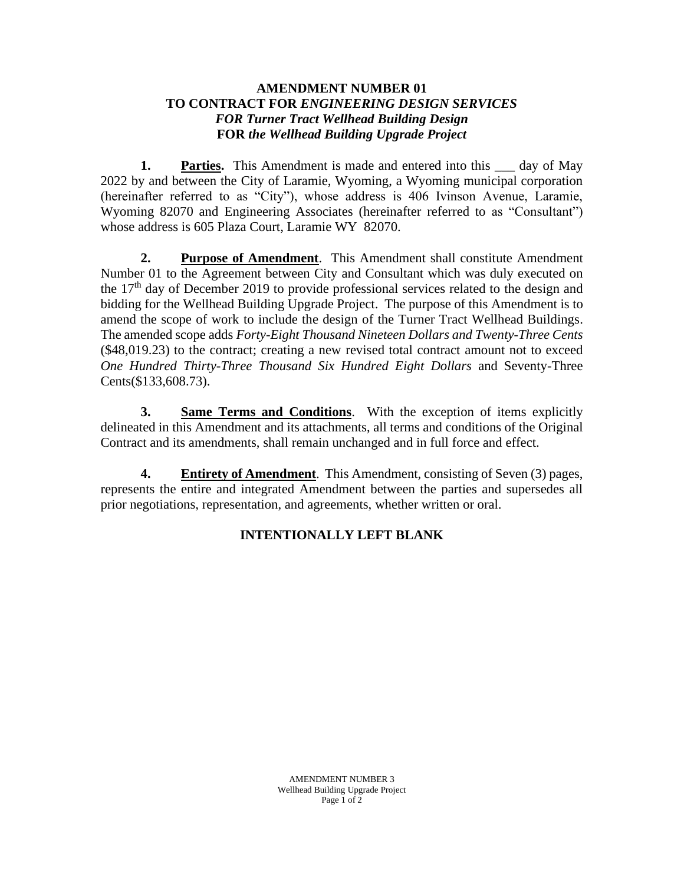## **AMENDMENT NUMBER 01 TO CONTRACT FOR** *ENGINEERING DESIGN SERVICES FOR Turner Tract Wellhead Building Design* **FOR** *the Wellhead Building Upgrade Project*

1. **Parties.** This Amendment is made and entered into this same day of May 2022 by and between the City of Laramie, Wyoming, a Wyoming municipal corporation (hereinafter referred to as "City"), whose address is 406 Ivinson Avenue, Laramie, Wyoming 82070 and Engineering Associates (hereinafter referred to as "Consultant") whose address is 605 Plaza Court, Laramie WY 82070.

**2. Purpose of Amendment**. This Amendment shall constitute Amendment Number 01 to the Agreement between City and Consultant which was duly executed on the 17<sup>th</sup> day of December 2019 to provide professional services related to the design and bidding for the Wellhead Building Upgrade Project. The purpose of this Amendment is to amend the scope of work to include the design of the Turner Tract Wellhead Buildings. The amended scope adds *Forty-Eight Thousand Nineteen Dollars and Twenty-Three Cents* (\$48,019.23) to the contract; creating a new revised total contract amount not to exceed *One Hundred Thirty-Three Thousand Six Hundred Eight Dollars* and Seventy-Three Cents(\$133,608.73).

**3. Same Terms and Conditions**. With the exception of items explicitly delineated in this Amendment and its attachments, all terms and conditions of the Original Contract and its amendments, shall remain unchanged and in full force and effect.

**4. Entirety of Amendment**. This Amendment, consisting of Seven (3) pages, represents the entire and integrated Amendment between the parties and supersedes all prior negotiations, representation, and agreements, whether written or oral.

## **INTENTIONALLY LEFT BLANK**

AMENDMENT NUMBER 3 Wellhead Building Upgrade Project Page 1 of 2